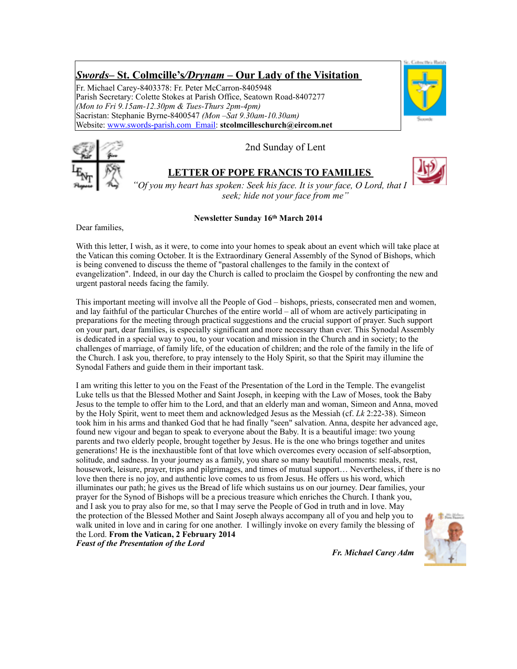# *Swords***– St. Colmcille's***/Drynam* **– Our Lady of the Visitation**

Fr. Michael Carey-8403378: Fr. Peter McCarron-8405948 Parish Secretary: Colette Stokes at Parish Office, Seatown Road-8407277 *(Mon to Fri 9.15am-12.30pm & Tues-Thurs 2pm-4pm)* Sacristan: Stephanie Byrne-8400547 *(Mon –Sat 9.30am-10.30am)* Website: [www.swords-parish.com Email](http://www.swords-parish.com%20%20email): **stcolmcilleschurch@eircom.net**





2nd Sunday of Lent

# **LETTER OF POPE FRANCIS TO FAMILIES**



*"Of you my heart has spoken: Seek his face. It is your face, O Lord, that I seek; hide not your face from me"*

#### **Newsletter Sunday 16th March 2014**

Dear families,

With this letter, I wish, as it were, to come into your homes to speak about an event which will take place at the Vatican this coming October. It is the Extraordinary General Assembly of the Synod of Bishops, which is being convened to discuss the theme of "pastoral challenges to the family in the context of evangelization". Indeed, in our day the Church is called to proclaim the Gospel by confronting the new and urgent pastoral needs facing the family.

This important meeting will involve all the People of God – bishops, priests, consecrated men and women, and lay faithful of the particular Churches of the entire world – all of whom are actively participating in preparations for the meeting through practical suggestions and the crucial support of prayer. Such support on your part, dear families, is especially significant and more necessary than ever. This Synodal Assembly is dedicated in a special way to you, to your vocation and mission in the Church and in society; to the challenges of marriage, of family life, of the education of children; and the role of the family in the life of the Church. I ask you, therefore, to pray intensely to the Holy Spirit, so that the Spirit may illumine the Synodal Fathers and guide them in their important task.

I am writing this letter to you on the Feast of the Presentation of the Lord in the Temple. The evangelist Luke tells us that the Blessed Mother and Saint Joseph, in keeping with the Law of Moses, took the Baby Jesus to the temple to offer him to the Lord, and that an elderly man and woman, Simeon and Anna, moved by the Holy Spirit, went to meet them and acknowledged Jesus as the Messiah (cf. *Lk* 2:22-38). Simeon took him in his arms and thanked God that he had finally "seen" salvation. Anna, despite her advanced age, found new vigour and began to speak to everyone about the Baby. It is a beautiful image: two young parents and two elderly people, brought together by Jesus. He is the one who brings together and unites generations! He is the inexhaustible font of that love which overcomes every occasion of self-absorption, solitude, and sadness. In your journey as a family, you share so many beautiful moments: meals, rest, housework, leisure, prayer, trips and pilgrimages, and times of mutual support… Nevertheless, if there is no love then there is no joy, and authentic love comes to us from Jesus. He offers us his word, which illuminates our path; he gives us the Bread of life which sustains us on our journey. Dear families, your prayer for the Synod of Bishops will be a precious treasure which enriches the Church. I thank you, and I ask you to pray also for me, so that I may serve the People of God in truth and in love. May the protection of the Blessed Mother and Saint Joseph always accompany all of you and help you to walk united in love and in caring for one another. I willingly invoke on every family the blessing of the Lord. **From the Vatican, 2 February 2014**  *Feast of the Presentation of the Lord*



*Fr. Michael Carey Adm*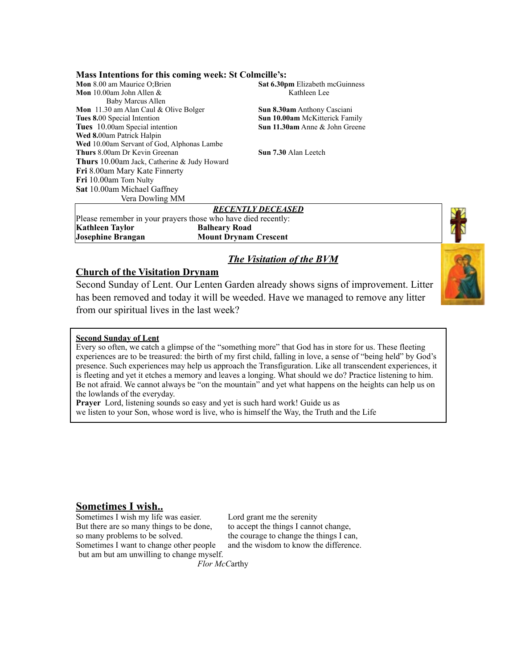**Mass Intentions for this coming week: St Colmcille's:** 

**Mon** 8.00 am Maurice O;Brien **Sat 6.30pm** Elizabeth mcGuinness<br> **Mon** 10.00am John Allen & Kathleen Lee **Mon** 10.00am John Allen  $\&$  Baby Marcus Allen **Mon** 11.30 am Alan Caul & Olive Bolger **Sun 8.30am** Anthony Casciani **Tues 8.**00 Special Intention **Sun 10.00am** McKitterick Family **Tues** 10.00am Special intention **Sun 11.30am** Anne & John Greene **Wed 8.**00am Patrick Halpin **Wed** 10.00am Servant of God, Alphonas Lambe **Thurs** 8.00am Dr Kevin Greenan **Sun 7.30** Alan Leetch **Thurs** 10.00am Jack, Catherine & Judy Howard **Fri** 8.00am Mary Kate Finnerty **Fri** 10.00am Tom Nulty **Sat** 10.00am Michael Gaffney Vera Dowling MM

# *RECENTLY DECEASED*

Please remember in your prayers those who have died recently: **Kathleen Taylor Balheary Road Josephine Brangan Mount Drynam Crescent**



### **Church of the Visitation Drynam**

Second Sunday of Lent. Our Lenten Garden already shows signs of improvement. Litter has been removed and today it will be weeded. Have we managed to remove any litter from our spiritual lives in the last week?

#### **Second Sunday of Lent**

Every so often, we catch a glimpse of the "something more" that God has in store for us. These fleeting experiences are to be treasured: the birth of my first child, falling in love, a sense of "being held" by God's presence. Such experiences may help us approach the Transfiguration. Like all transcendent experiences, it is fleeting and yet it etches a memory and leaves a longing. What should we do? Practice listening to him. Be not afraid. We cannot always be "on the mountain" and yet what happens on the heights can help us on the lowlands of the everyday.

**Prayer** Lord, listening sounds so easy and yet is such hard work! Guide us as we listen to your Son, whose word is live, who is himself the Way, the Truth and the Life

# **Sometimes I wish..**

Sometimes I wish my life was easier. Lord grant me the serenity But there are so many things to be done, to accept the things I cannot change, so many problems to be solved. the courage to change the things I can, Sometimes I want to change other people and the wisdom to know the difference. but am but am unwilling to change myself.

 *Flor McC*arthy

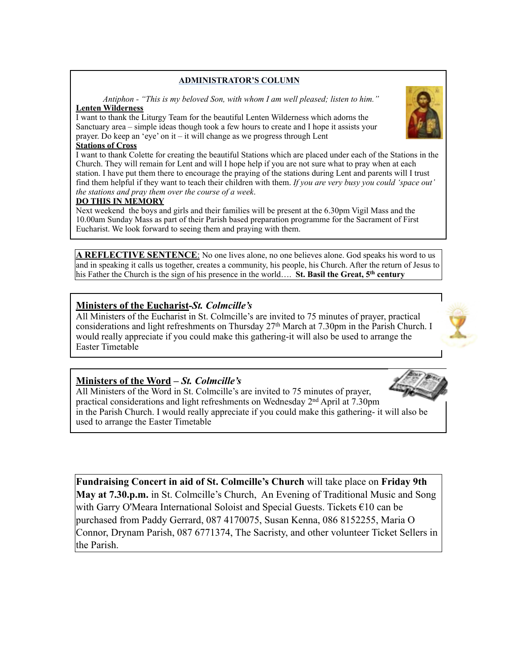#### **ADMINISTRATOR'S COLUMN**

 *Antiphon - "This is my beloved Son, with whom I am well pleased; listen to him."*  **Lenten Wilderness** 

I want to thank the Liturgy Team for the beautiful Lenten Wilderness which adorns the Sanctuary area – simple ideas though took a few hours to create and I hope it assists your prayer. Do keep an 'eye' on it – it will change as we progress through Lent

#### **Stations of Cross**

I want to thank Colette for creating the beautiful Stations which are placed under each of the Stations in the Church. They will remain for Lent and will I hope help if you are not sure what to pray when at each station. I have put them there to encourage the praying of the stations during Lent and parents will I trust find them helpful if they want to teach their children with them. *If you are very busy you could 'space out' the stations and pray them over the course of a week*.

#### **DO THIS IN MEMORY**

Next weekend the boys and girls and their families will be present at the 6.30pm Vigil Mass and the 10.00am Sunday Mass as part of their Parish based preparation programme for the Sacrament of First Eucharist. We look forward to seeing them and praying with them.

A REFLECTIVE SENTENCE: No one lives alone, no one believes alone. God speaks his word to us and in speaking it calls us together, creates a community, his people, his Church. After the return of Jesus to his Father the Church is the sign of his presence in the world…. **St. Basil the Great, 5th century**

### **Ministers of the Eucharist***-St. Colmcille's*

All Ministers of the Eucharist in St. Colmcille's are invited to 75 minutes of prayer, practical considerations and light refreshments on Thursday 27th March at 7.30pm in the Parish Church. I would really appreciate if you could make this gathering-it will also be used to arrange the Easter Timetable

# **Ministers of the Word –** *St. Colmcille's*

All Ministers of the Word in St. Colmcille's are invited to 75 minutes of prayer, practical considerations and light refreshments on Wednesday  $2<sup>nd</sup>$  April at 7.30pm in the Parish Church. I would really appreciate if you could make this gathering- it will also be used to arrange the Easter Timetable

**Fundraising Concert in aid of St. Colmcille's Church** will take place on **Friday 9th May at 7.30.p.m.** in St. Colmcille's Church, An Evening of Traditional Music and Song with Garry O'Meara International Soloist and Special Guests. Tickets €10 can be purchased from Paddy Gerrard, 087 4170075, Susan Kenna, 086 8152255, Maria O Connor, Drynam Parish, 087 6771374, The Sacristy, and other volunteer Ticket Sellers in the Parish.